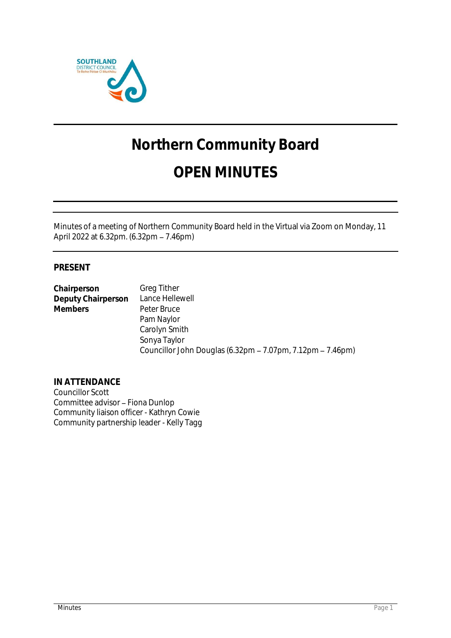

# **Northern Community Board**

## **OPEN MINUTES**

Minutes of a meeting of Northern Community Board held in the Virtual via Zoom on Monday, 11 April 2022 at 6.32pm. (6.32pm – 7.46pm)

### **PRESENT**

**Chairperson** Greg Tither<br>
Deputy Chairperson Lance Hellewell **Deputy Chairperson Members** Peter Bruce Pam Naylor Carolyn Smith Sonya Taylor Councillor John Douglas (6.32pm - 7.07pm, 7.12pm - 7.46pm)

**IN ATTENDANCE** Councillor Scott Committee advisor - Fiona Dunlop Community liaison officer - Kathryn Cowie Community partnership leader - Kelly Tagg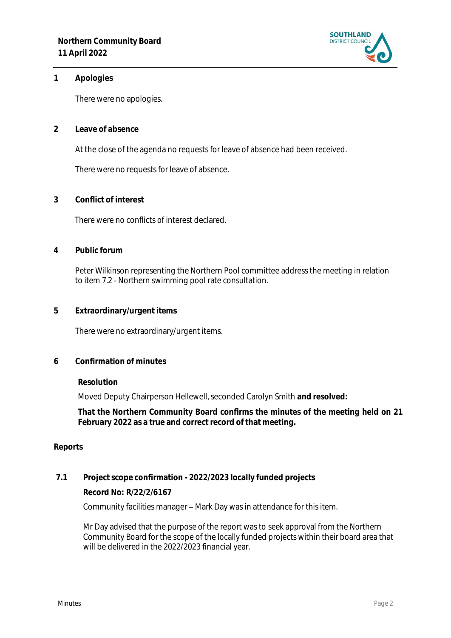

#### **1 Apologies**

There were no apologies.

**2 Leave of absence** 

At the close of the agenda no requests for leave of absence had been received.

There were no requests for leave of absence.

**3 Conflict of interest**

There were no conflicts of interest declared.

**4 Public forum**

Peter Wilkinson representing the Northern Pool committee address the meeting in relation to item 7.2 - Northern swimming pool rate consultation.

**5 Extraordinary/urgent items**

There were no extraordinary/urgent items.

#### **6 Confirmation of minutes**

#### **Resolution**

Moved Deputy Chairperson Hellewell, seconded Carolyn Smith **and resolved:**

**That the Northern Community Board confirms the minutes of the meeting held on 21 February 2022 as a true and correct record of that meeting.**

#### **Reports**

**7.1 Project scope confirmation - 2022/2023 locally funded projects**

**Record No: R/22/2/6167**

Community facilities manager – Mark Day was in attendance for this item.

Mr Day advised that the purpose of the report was to seek approval from the Northern Community Board for the scope of the locally funded projects within their board area that will be delivered in the 2022/2023 financial year.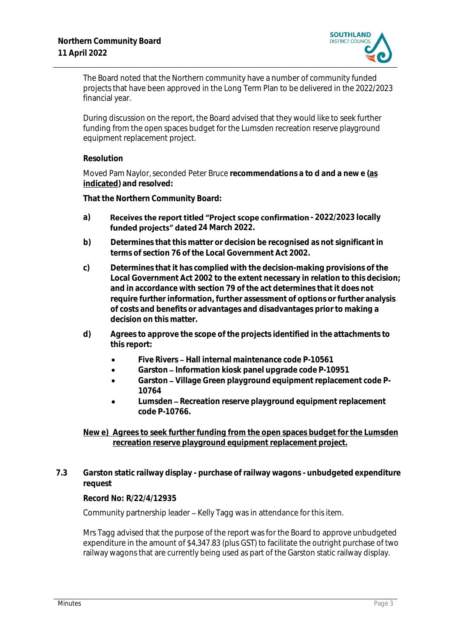

The Board noted that the Northern community have a number of community funded projects that have been approved in the Long Term Plan to be delivered in the 2022/2023 financial year.

During discussion on the report, the Board advised that they would like to seek further funding from the open spaces budget for the Lumsden recreation reserve playground equipment replacement project.

#### **Resolution**

Moved Pam Naylor, seconded Peter Bruce **recommendations a to d and a new e (as indicated) and resolved:**

**That the Northern Community Board:**

- a) **Receives the report titled "Project scope confirmation 2022/2023 locally** funded projects" dated 24 March 2022.
- **b) Determines that this matter or decision be recognised as not significant in terms of section 76 of the Local Government Act 2002.**
- **c) Determines that it has complied with the decision-making provisions of the Local Government Act 2002 to the extent necessary in relation to this decision; and in accordance with section 79 of the act determines that it does not require further information, further assessment of options or further analysis of costs and benefits or advantages and disadvantages prior to making a decision on this matter.**
- **d) Agrees to approve the scope of the projects identified in the attachments to this report:**
	- **Five Rivers Hall internal maintenance code P-10561**
	- Garston Information kiosk panel upgrade code P-10951
	- Garston Village Green playground equipment replacement code P-**10764**
	- Lumsden Recreation reserve playground equipment replacement **code P-10766.**

**New e) Agrees to seek further funding from the open spaces budget for the Lumsden recreation reserve playground equipment replacement project.**

**7.3 Garston static railway display - purchase of railway wagons - unbudgeted expenditure request**

#### **Record No: R/22/4/12935**

Community partnership leader - Kelly Tagg was in attendance for this item.

Mrs Tagg advised that the purpose of the report was for the Board to approve unbudgeted expenditure in the amount of \$4,347.83 (plus GST) to facilitate the outright purchase of two railway wagons that are currently being used as part of the Garston static railway display.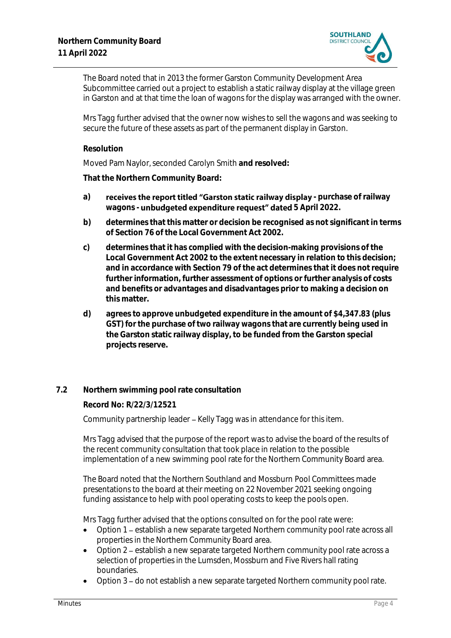

The Board noted that in 2013 the former Garston Community Development Area Subcommittee carried out a project to establish a static railway display at the village green in Garston and at that time the loan of wagons for the display was arranged with the owner.

Mrs Tagg further advised that the owner now wishes to sell the wagons and was seeking to secure the future of these assets as part of the permanent display in Garston.

#### **Resolution**

Moved Pam Naylor, seconded Carolyn Smith **and resolved:**

**That the Northern Community Board:**

- a) **receives the report titled "Garston static railway display purchase of railway** wagons - **unbudgeted expenditure request" dated** 5 April 2022.
- **b) determines that this matter or decision be recognised as not significant in terms of Section 76 of the Local Government Act 2002.**
- **c) determines that it has complied with the decision-making provisions of the Local Government Act 2002 to the extent necessary in relation to this decision; and in accordance with Section 79 of the act determines that it does not require further information, further assessment of options or further analysis of costs and benefits or advantages and disadvantages prior to making a decision on this matter.**
- **d) agrees to approve unbudgeted expenditure in the amount of \$4,347.83 (plus GST) for the purchase of two railway wagons that are currently being used in the Garston static railway display, to be funded from the Garston special projects reserve.**

#### **7.2 Northern swimming pool rate consultation**

**Record No: R/22/3/12521**

Community partnership leader – Kelly Tagg was in attendance for this item.

Mrs Tagg advised that the purpose of the report wasto advise the board of the results of the recent community consultation that took place in relation to the possible implementation of a new swimming pool rate for the Northern Community Board area.

The Board noted that the Northern Southland and Mossburn Pool Committees made presentations to the board at their meeting on 22 November 2021 seeking ongoing funding assistance to help with pool operating costs to keep the pools open.

Mrs Tagg further advised that the options consulted on for the pool rate were:

- Option 1 establish a new separate targeted Northern community pool rate across all properties in the Northern Community Board area.
- Option 2 establish a new separate targeted Northern community pool rate across a selection of properties in the Lumsden, Mossburn and Five Rivers hall rating boundaries.
- Option 3 do not establish a new separate targeted Northern community pool rate.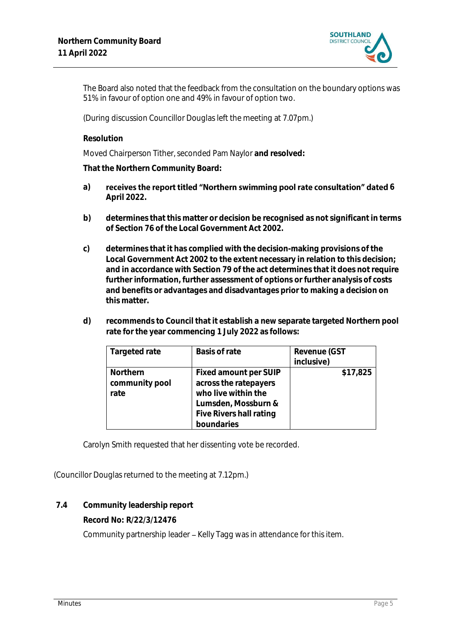

The Board also noted that the feedback from the consultation on the boundary options was 51% in favour of option one and 49% in favour of option two.

(During discussion Councillor Douglas left the meeting at 7.07pm.)

**Resolution**

Moved Chairperson Tither, seconded Pam Naylor **and resolved:**

**That the Northern Community Board:**

- a) receives the report titled "Northern swimming pool rate consultation" dated 6 **April 2022.**
- **b) determines that this matter or decision be recognised as not significant in terms of Section 76 of the Local Government Act 2002.**
- **c) determines that it has complied with the decision-making provisions of the Local Government Act 2002 to the extent necessary in relation to this decision; and in accordance with Section 79 of the act determines that it does not require further information, further assessment of options or further analysis of costs and benefits or advantages and disadvantages prior to making a decision on this matter.**
- **d) recommends to Council that it establish a new separate targeted Northern pool rate for the year commencing 1 July 2022 as follows:**

| Targeted rate  | Basis of rate           | Revenue (GST |
|----------------|-------------------------|--------------|
|                |                         | inclusive)   |
| Northern       | Fixed amount per SUIP   | \$17,825     |
| community pool | across the ratepayers   |              |
| rate           | who live within the     |              |
|                | Lumsden, Mossburn &     |              |
|                | Five Rivers hall rating |              |
|                | boundaries              |              |

Carolyn Smith requested that her dissenting vote be recorded.

(Councillor Douglas returned to the meeting at 7.12pm.)

**7.4 Community leadership report**

**Record No: R/22/3/12476**

Community partnership leader - Kelly Tagg was in attendance for this item.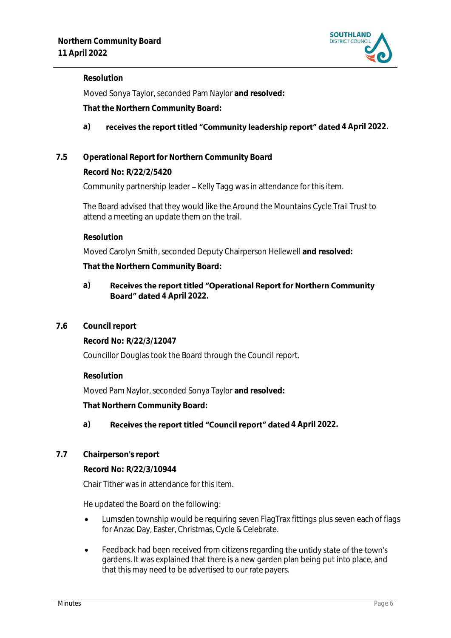

#### **Resolution**

Moved Sonya Taylor, seconded Pam Naylor **and resolved:**

**That the Northern Community Board:**

#### a) **receives the report titled "Community leadership report" dated 4 April 2022.**

#### **7.5 Operational Report for Northern Community Board**

**Record No: R/22/2/5420**

Community partnership leader – Kelly Tagg was in attendance for this item.

The Board advised that they would like the Around the Mountains Cycle Trail Trust to attend a meeting an update them on the trail.

**Resolution**

Moved Carolyn Smith, seconded Deputy Chairperson Hellewell **and resolved:**

**That the Northern Community Board:**

#### Receives the report titled "Operational Report for Northern Community **a) Board" dated 4 April 2022.**

**7.6 Council report**

**Record No: R/22/3/12047**

Councillor Douglas took the Board through the Council report.

**Resolution**

Moved Pam Naylor, seconded Sonya Taylor **and resolved:**

**That Northern Community Board:**

#### a) **Receives the report titled "Council report" dated 4 April 2022.**

**7.7 Chairperson's report**

**Record No: R/22/3/10944**

Chair Tither was in attendance for this item.

He updated the Board on the following:

- Lumsden township would be requiring seven FlagTrax fittings plus seven each of flags for Anzac Day, Easter, Christmas, Cycle & Celebrate.
- Feedback had been received from citizens regarding the untidy state of the town's gardens. It was explained that there is a new garden plan being put into place, and that this may need to be advertised to our rate payers.